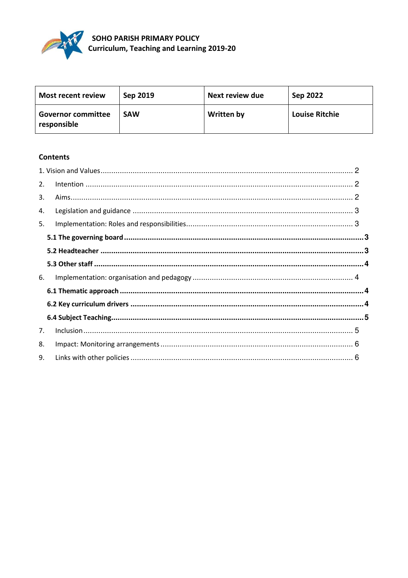

| <b>Most recent review</b>                | Sep 2019   | Next review due   | Sep 2022              |
|------------------------------------------|------------|-------------------|-----------------------|
| <b>Governor committee</b><br>responsible | <b>SAW</b> | <b>Written by</b> | <b>Louise Ritchie</b> |

# **Contents**

| 2. |  |
|----|--|
| 3. |  |
| 4. |  |
| 5. |  |
|    |  |
|    |  |
|    |  |
| 6. |  |
|    |  |
|    |  |
|    |  |
| 7. |  |
| 8. |  |
| 9. |  |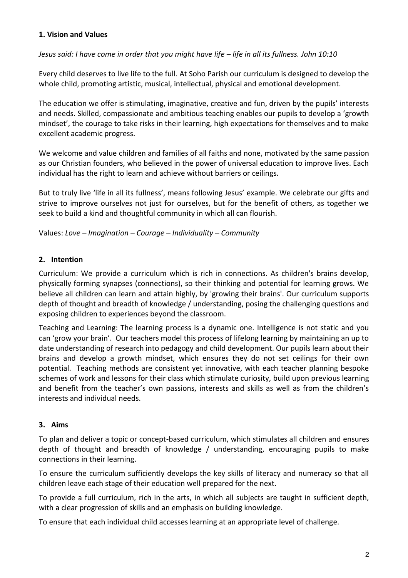# **1. Vision and Values**

### *Jesus said: I have come in order that you might have life – life in all its fullness. John 10:10*

Every child deserves to live life to the full. At Soho Parish our curriculum is designed to develop the whole child, promoting artistic, musical, intellectual, physical and emotional development.

The education we offer is stimulating, imaginative, creative and fun, driven by the pupils' interests and needs. Skilled, compassionate and ambitious teaching enables our pupils to develop a 'growth mindset', the courage to take risks in their learning, high expectations for themselves and to make excellent academic progress.

We welcome and value children and families of all faiths and none, motivated by the same passion as our Christian founders, who believed in the power of universal education to improve lives. Each individual has the right to learn and achieve without barriers or ceilings.

But to truly live 'life in all its fullness', means following Jesus' example. We celebrate our gifts and strive to improve ourselves not just for ourselves, but for the benefit of others, as together we seek to build a kind and thoughtful community in which all can flourish.

Values: *Love – Imagination – Courage – Individuality – Community* 

# **2. Intention**

Curriculum: We provide a curriculum which is rich in connections. As children's brains develop, physically forming synapses (connections), so their thinking and potential for learning grows. We believe all children can learn and attain highly, by 'growing their brains'. Our curriculum supports depth of thought and breadth of knowledge / understanding, posing the challenging questions and exposing children to experiences beyond the classroom.

Teaching and Learning: The learning process is a dynamic one. Intelligence is not static and you can 'grow your brain'. Our teachers model this process of lifelong learning by maintaining an up to date understanding of research into pedagogy and child development. Our pupils learn about their brains and develop a growth mindset, which ensures they do not set ceilings for their own potential. Teaching methods are consistent yet innovative, with each teacher planning bespoke schemes of work and lessons for their class which stimulate curiosity, build upon previous learning and benefit from the teacher's own passions, interests and skills as well as from the children's interests and individual needs.

# **3. Aims**

To plan and deliver a topic or concept-based curriculum, which stimulates all children and ensures depth of thought and breadth of knowledge / understanding, encouraging pupils to make connections in their learning.

To ensure the curriculum sufficiently develops the key skills of literacy and numeracy so that all children leave each stage of their education well prepared for the next.

To provide a full curriculum, rich in the arts, in which all subjects are taught in sufficient depth, with a clear progression of skills and an emphasis on building knowledge.

To ensure that each individual child accesses learning at an appropriate level of challenge.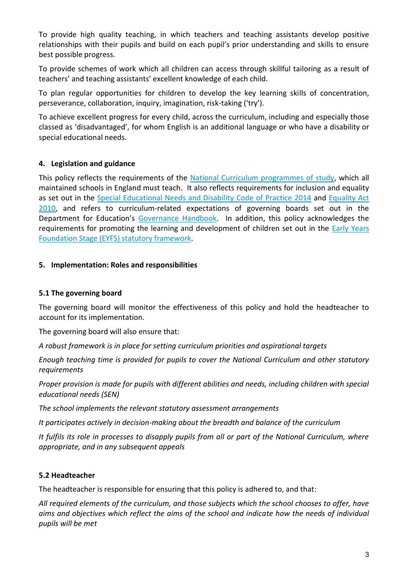To provide high quality teaching, in which teachers and teaching assistants develop positive relationships with their pupils and build on each pupil's prior understanding and skills to ensure best possible progress.

To provide schemes of work which all children can access through skillful tailoring as a result of teachers' and teaching assistants' excellent knowledge of each child.

To plan regular opportunities for children to develop the key learning skills of concentration, perseverance, collaboration, inquiry, imagination, risk-taking ('try').

To achieve excellent progress for every child, across the curriculum, including and especially those classed as 'disadvantaged', for whom English is an additional language or who have a disability or special educational needs.

# **4. Legislation and guidance**

This policy reflects the requirements of the [National Curriculum programmes of study,](https://www.gov.uk/government/collections/national-curriculum) which all maintained schools in England must teach. It also reflects requirements for inclusion and equality as set out in the [Special Educational Needs and Disability Code of Practice 2014](https://www.gov.uk/government/publications/send-code-of-practice-0-to-25) and [Equality Act](http://www.legislation.gov.uk/ukpga/2010/15/part/6/chapter/1)  [2010,](http://www.legislation.gov.uk/ukpga/2010/15/part/6/chapter/1) and refers to curriculum-related expectations of governing boards set out in the Department for Education's [Governance Handbook.](https://www.gov.uk/government/publications/governance-handbook) In addition, this policy acknowledges the requirements for promoting the learning and development of children set out in the **Early Years** [Foundation Stage \(EYFS\) statutory framework.](https://www.gov.uk/government/uploads/system/uploads/attachment_data/file/596629/EYFS_STATUTORY_FRAMEWORK_2017.pdf)

# **5. Implementation: Roles and responsibilities**

# **5.1 The governing board**

The governing board will monitor the effectiveness of this policy and hold the headteacher to account for its implementation.

The governing board will also ensure that:

*A robust framework is in place for setting curriculum priorities and aspirational targets* 

*Enough teaching time is provided for pupils to cover the National Curriculum and other statutory requirements* 

*Proper provision is made for pupils with different abilities and needs, including children with special educational needs (SEN)* 

*The school implements the relevant statutory assessment arrangements* 

*It participates actively in decision-making about the breadth and balance of the curriculum* 

*It fulfils its role in processes to disapply pupils from all or part of the National Curriculum, where appropriate, and in any subsequent appeals* 

# **5.2 Headteacher**

The headteacher is responsible for ensuring that this policy is adhered to, and that:

*All required elements of the curriculum, and those subjects which the school chooses to offer, have aims and objectives which reflect the aims of the school and indicate how the needs of individual pupils will be met*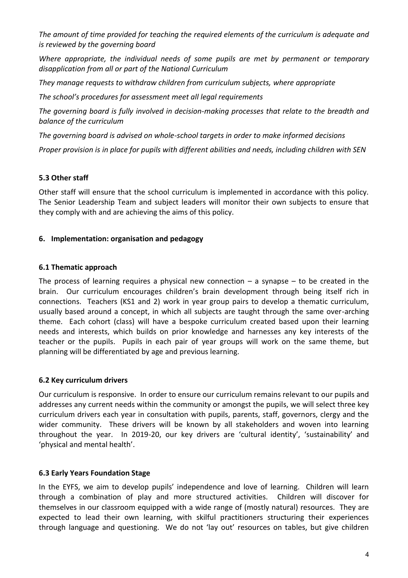*The amount of time provided for teaching the required elements of the curriculum is adequate and is reviewed by the governing board* 

*Where appropriate, the individual needs of some pupils are met by permanent or temporary disapplication from all or part of the National Curriculum* 

*They manage requests to withdraw children from curriculum subjects, where appropriate* 

*The school's procedures for assessment meet all legal requirements*

*The governing board is fully involved in decision-making processes that relate to the breadth and balance of the curriculum* 

*The governing board is advised on whole-school targets in order to make informed decisions* 

*Proper provision is in place for pupils with different abilities and needs, including children with SEN* 

# **5.3 Other staff**

Other staff will ensure that the school curriculum is implemented in accordance with this policy. The Senior Leadership Team and subject leaders will monitor their own subjects to ensure that they comply with and are achieving the aims of this policy.

### **6. Implementation: organisation and pedagogy**

### **6.1 Thematic approach**

The process of learning requires a physical new connection  $-$  a synapse  $-$  to be created in the brain. Our curriculum encourages children's brain development through being itself rich in connections. Teachers (KS1 and 2) work in year group pairs to develop a thematic curriculum, usually based around a concept, in which all subjects are taught through the same over-arching theme. Each cohort (class) will have a bespoke curriculum created based upon their learning needs and interests, which builds on prior knowledge and harnesses any key interests of the teacher or the pupils. Pupils in each pair of year groups will work on the same theme, but planning will be differentiated by age and previous learning.

#### **6.2 Key curriculum drivers**

Our curriculum is responsive. In order to ensure our curriculum remains relevant to our pupils and addresses any current needs within the community or amongst the pupils, we will select three key curriculum drivers each year in consultation with pupils, parents, staff, governors, clergy and the wider community. These drivers will be known by all stakeholders and woven into learning throughout the year. In 2019-20, our key drivers are 'cultural identity', 'sustainability' and 'physical and mental health'.

#### **6.3 Early Years Foundation Stage**

In the EYFS, we aim to develop pupils' independence and love of learning. Children will learn through a combination of play and more structured activities. Children will discover for themselves in our classroom equipped with a wide range of (mostly natural) resources. They are expected to lead their own learning, with skilful practitioners structuring their experiences through language and questioning. We do not 'lay out' resources on tables, but give children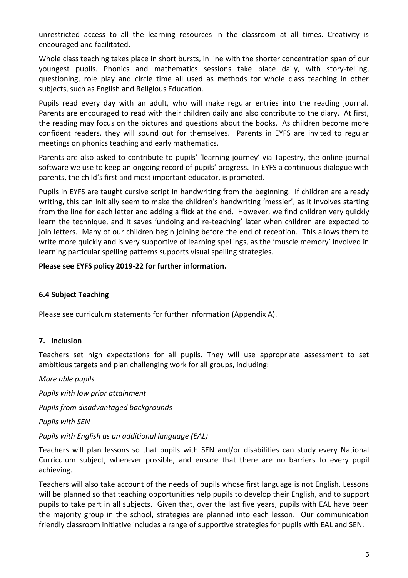unrestricted access to all the learning resources in the classroom at all times. Creativity is encouraged and facilitated.

Whole class teaching takes place in short bursts, in line with the shorter concentration span of our youngest pupils. Phonics and mathematics sessions take place daily, with story-telling, questioning, role play and circle time all used as methods for whole class teaching in other subjects, such as English and Religious Education.

Pupils read every day with an adult, who will make regular entries into the reading journal. Parents are encouraged to read with their children daily and also contribute to the diary. At first, the reading may focus on the pictures and questions about the books. As children become more confident readers, they will sound out for themselves. Parents in EYFS are invited to regular meetings on phonics teaching and early mathematics.

Parents are also asked to contribute to pupils' 'learning journey' via Tapestry, the online journal software we use to keep an ongoing record of pupils' progress. In EYFS a continuous dialogue with parents, the child's first and most important educator, is promoted.

Pupils in EYFS are taught cursive script in handwriting from the beginning. If children are already writing, this can initially seem to make the children's handwriting 'messier', as it involves starting from the line for each letter and adding a flick at the end. However, we find children very quickly learn the technique, and it saves 'undoing and re-teaching' later when children are expected to join letters. Many of our children begin joining before the end of reception. This allows them to write more quickly and is very supportive of learning spellings, as the 'muscle memory' involved in learning particular spelling patterns supports visual spelling strategies.

### **Please see EYFS policy 2019-22 for further information.**

# **6.4 Subject Teaching**

Please see curriculum statements for further information (Appendix A).

#### **7. Inclusion**

Teachers set high expectations for all pupils. They will use appropriate assessment to set ambitious targets and plan challenging work for all groups, including:

*More able pupils* 

*Pupils with low prior attainment* 

*Pupils from disadvantaged backgrounds* 

*Pupils with SEN* 

#### *Pupils with English as an additional language (EAL)*

Teachers will plan lessons so that pupils with SEN and/or disabilities can study every National Curriculum subject, wherever possible, and ensure that there are no barriers to every pupil achieving.

Teachers will also take account of the needs of pupils whose first language is not English. Lessons will be planned so that teaching opportunities help pupils to develop their English, and to support pupils to take part in all subjects. Given that, over the last five years, pupils with EAL have been the majority group in the school, strategies are planned into each lesson. Our communication friendly classroom initiative includes a range of supportive strategies for pupils with EAL and SEN.